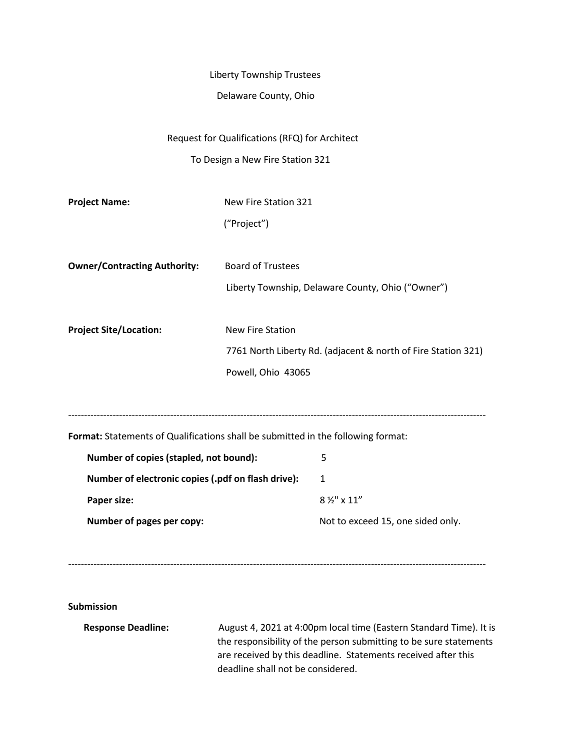## Liberty Township Trustees

## Delaware County, Ohio

Request for Qualifications (RFQ) for Architect

To Design a New Fire Station 321

| <b>Project Name:</b>                                                             | New Fire Station 321     |                                                               |
|----------------------------------------------------------------------------------|--------------------------|---------------------------------------------------------------|
|                                                                                  | ("Project")              |                                                               |
|                                                                                  |                          |                                                               |
| <b>Owner/Contracting Authority:</b>                                              | <b>Board of Trustees</b> |                                                               |
|                                                                                  |                          | Liberty Township, Delaware County, Ohio ("Owner")             |
|                                                                                  |                          |                                                               |
| <b>Project Site/Location:</b>                                                    | <b>New Fire Station</b>  |                                                               |
|                                                                                  |                          | 7761 North Liberty Rd. (adjacent & north of Fire Station 321) |
|                                                                                  | Powell, Ohio 43065       |                                                               |
|                                                                                  |                          |                                                               |
|                                                                                  |                          |                                                               |
| Format: Statements of Qualifications shall be submitted in the following format: |                          |                                                               |
| Number of copies (stapled, not bound):                                           |                          | 5                                                             |
| Number of electronic copies (.pdf on flash drive):                               |                          | $\mathbf{1}$                                                  |
| Paper size:                                                                      |                          | 8 1/2" x 11"                                                  |
| Number of pages per copy:                                                        |                          | Not to exceed 15, one sided only.                             |
|                                                                                  |                          |                                                               |
|                                                                                  |                          |                                                               |

**Submission**

**Response Deadline:** August 4, 2021 at 4:00pm local time (Eastern Standard Time). It is the responsibility of the person submitting to be sure statements are received by this deadline. Statements received after this deadline shall not be considered.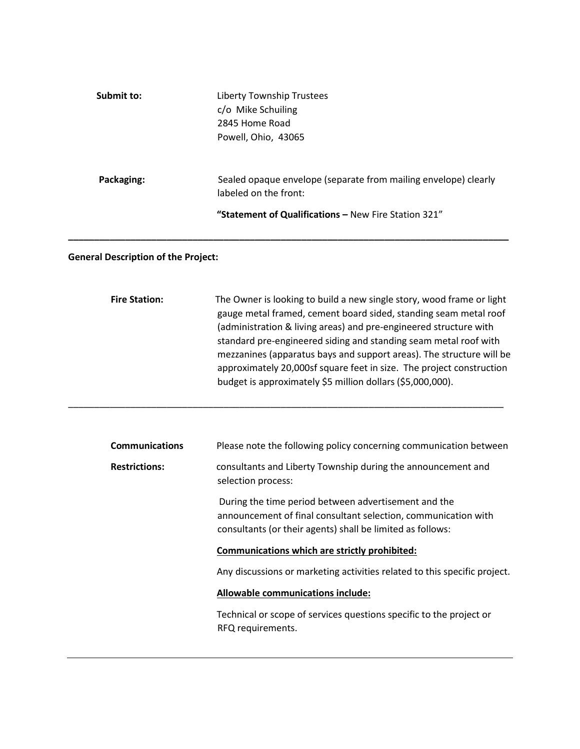| Submit to: | Liberty Township Trustees<br>c/o Mike Schuiling<br>2845 Home Road<br>Powell, Ohio, 43065 |
|------------|------------------------------------------------------------------------------------------|
| Packaging: | Sealed opaque envelope (separate from mailing envelope) clearly<br>labeled on the front: |
|            | "Statement of Qualifications - New Fire Station 321"                                     |

**\_\_\_\_\_\_\_\_\_\_\_\_\_\_\_\_\_\_\_\_\_\_\_\_\_\_\_\_\_\_\_\_\_\_\_\_\_\_\_\_\_\_\_\_\_\_\_\_\_\_\_\_\_\_\_\_\_\_\_\_\_\_\_\_\_\_\_\_\_\_\_\_\_\_\_\_\_\_\_\_\_\_\_\_\_**

\_\_\_\_\_\_\_\_\_\_\_\_\_\_\_\_\_\_\_\_\_\_\_\_\_\_\_\_\_\_\_\_\_\_\_\_\_\_\_\_\_\_\_\_\_\_\_\_\_\_\_\_\_\_\_\_\_\_\_\_\_\_\_\_\_\_\_\_\_\_\_\_\_\_\_\_\_\_\_\_\_\_\_\_

## **General Description of the Project:**

| <b>Fire Station:</b> | The Owner is looking to build a new single story, wood frame or light |
|----------------------|-----------------------------------------------------------------------|
|                      | gauge metal framed, cement board sided, standing seam metal roof      |
|                      | (administration & living areas) and pre-engineered structure with     |
|                      | standard pre-engineered siding and standing seam metal roof with      |
|                      | mezzanines (apparatus bays and support areas). The structure will be  |
|                      | approximately 20,000sf square feet in size. The project construction  |
|                      | budget is approximately \$5 million dollars (\$5,000,000).            |

| <b>Communications</b> | Please note the following policy concerning communication between                                                                                                                    |
|-----------------------|--------------------------------------------------------------------------------------------------------------------------------------------------------------------------------------|
| <b>Restrictions:</b>  | consultants and Liberty Township during the announcement and<br>selection process:                                                                                                   |
|                       | During the time period between advertisement and the<br>announcement of final consultant selection, communication with<br>consultants (or their agents) shall be limited as follows: |
|                       | Communications which are strictly prohibited:                                                                                                                                        |
|                       | Any discussions or marketing activities related to this specific project.                                                                                                            |
|                       | Allowable communications include:                                                                                                                                                    |
|                       | Technical or scope of services questions specific to the project or<br>RFQ requirements.                                                                                             |